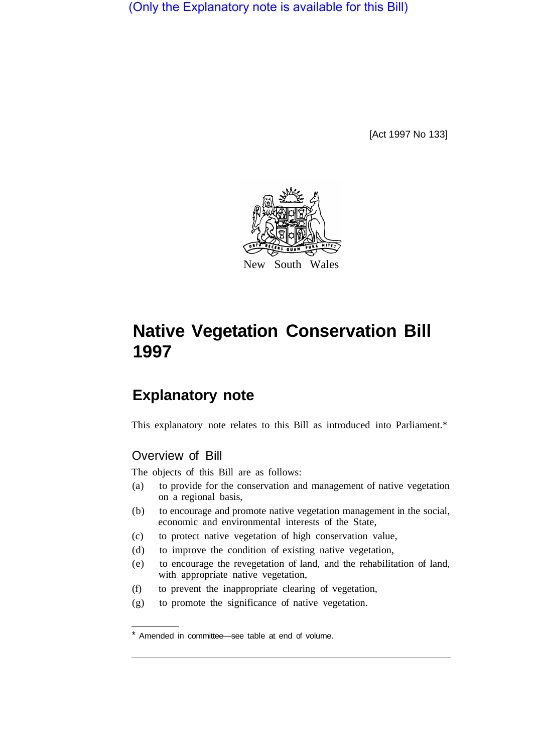(Only the Explanatory note is available for this Bill)

[Act 1997 No 133]



# **Native Vegetation Conservation Bill 1997**

# **Explanatory note**

This explanatory note relates to this Bill as introduced into Parliament.\*

## Overview of Bill

The objects of this Bill are as follows:

- (a) to provide for the conservation and management of native vegetation on a regional basis,
- (b) to encourage and promote native vegetation management in the social, economic and environmental interests of the State,
- (c) to protect native vegetation of high conservation value,
- (d) to improve the condition of existing native vegetation,
- (e) to encourage the revegetation of land, and the rehabilitation of land, with appropriate native vegetation,
- (f) to prevent the inappropriate clearing of vegetation,
- (g) to promote the significance of native vegetation.

<sup>\*</sup> Amended in committee—see table at end of volume.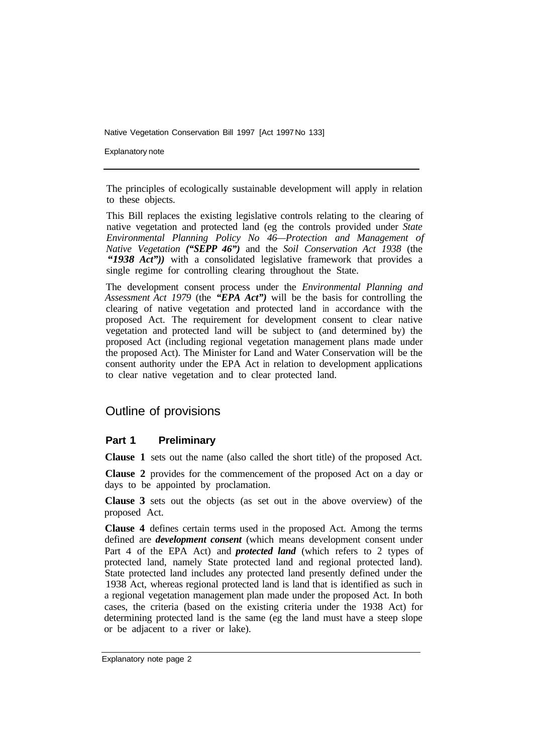Explanatory note

The principles of ecologically sustainable development will apply in relation to these objects.

This Bill replaces the existing legislative controls relating to the clearing of native vegetation and protected land (eg the controls provided under *State Environmental Planning Policy No 46—Protection and Management of Native Vegetation ("SEPP 46")* and the *Soil Conservation Act 1938* (the *"1938 Act"))* with a consolidated legislative framework that provides a single regime for controlling clearing throughout the State.

The development consent process under the *Environmental Planning and Assessment Act 1979* (the *"EPA Act")* will be the basis for controlling the clearing of native vegetation and protected land in accordance with the proposed Act. The requirement for development consent to clear native vegetation and protected land will be subject to (and determined by) the proposed Act (including regional vegetation management plans made under the proposed Act). The Minister for Land and Water Conservation will be the consent authority under the EPA Act in relation to development applications to clear native vegetation and to clear protected land.

## Outline of provisions

#### **Part 1 Preliminary**

**Clause 1** sets out the name (also called the short title) of the proposed Act.

**Clause 2** provides for the commencement of the proposed Act on a day or days to be appointed by proclamation.

**Clause 3** sets out the objects (as set out in the above overview) of the proposed Act.

**Clause 4** defines certain terms used in the proposed Act. Among the terms defined are *development consent* (which means development consent under Part 4 of the EPA Act) and *protected land* (which refers to 2 types of protected land, namely State protected land and regional protected land). State protected land includes any protected land presently defined under the 1938 Act, whereas regional protected land is land that is identified as such in a regional vegetation management plan made under the proposed Act. In both cases, the criteria (based on the existing criteria under the 1938 Act) for determining protected land is the same (eg the land must have a steep slope or be adjacent to a river or lake).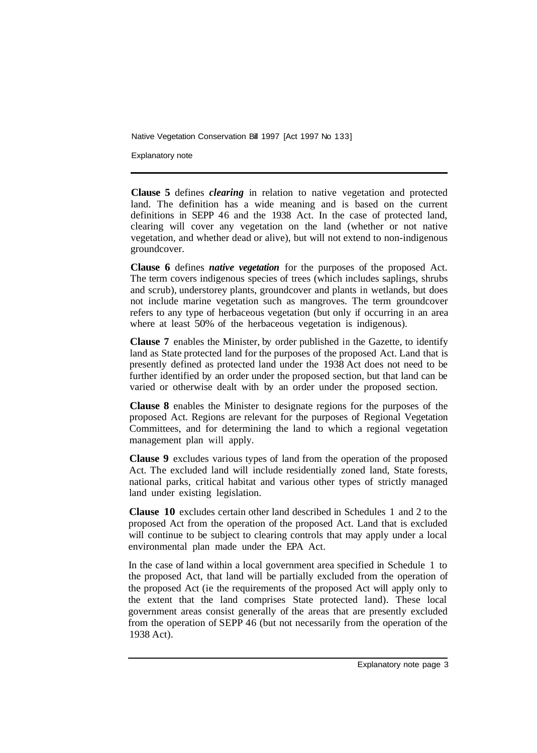Explanatory note

**Clause 5** defines *clearing* in relation to native vegetation and protected land. The definition has a wide meaning and is based on the current definitions in SEPP 46 and the 1938 Act. In the case of protected land, clearing will cover any vegetation on the land (whether or not native vegetation, and whether dead or alive), but will not extend to non-indigenous groundcover.

**Clause 6** defines *native vegetation* for the purposes of the proposed Act. The term covers indigenous species of trees (which includes saplings, shrubs and scrub), understorey plants, groundcover and plants in wetlands, but does not include marine vegetation such as mangroves. The term groundcover refers to any type of herbaceous vegetation (but only if occurring in an area where at least 50% of the herbaceous vegetation is indigenous).

**Clause 7** enables the Minister, by order published in the Gazette, to identify land as State protected land for the purposes of the proposed Act. Land that is presently defined as protected land under the 1938 Act does not need to be further identified by an order under the proposed section, but that land can be varied or otherwise dealt with by an order under the proposed section.

**Clause 8** enables the Minister to designate regions for the purposes of the proposed Act. Regions are relevant for the purposes of Regional Vegetation Committees, and for determining the land to which a regional vegetation management plan will apply.

**Clause 9** excludes various types of land from the operation of the proposed Act. The excluded land will include residentially zoned land, State forests, national parks, critical habitat and various other types of strictly managed land under existing legislation.

**Clause 10** excludes certain other land described in Schedules 1 and 2 to the proposed Act from the operation of the proposed Act. Land that is excluded will continue to be subject to clearing controls that may apply under a local environmental plan made under the EPA Act.

In the case of land within a local government area specified in Schedule 1 to the proposed Act, that land will be partially excluded from the operation of the proposed Act (ie the requirements of the proposed Act will apply only to the extent that the land comprises State protected land). These local government areas consist generally of the areas that are presently excluded from the operation of SEPP 46 (but not necessarily from the operation of the 1938 Act).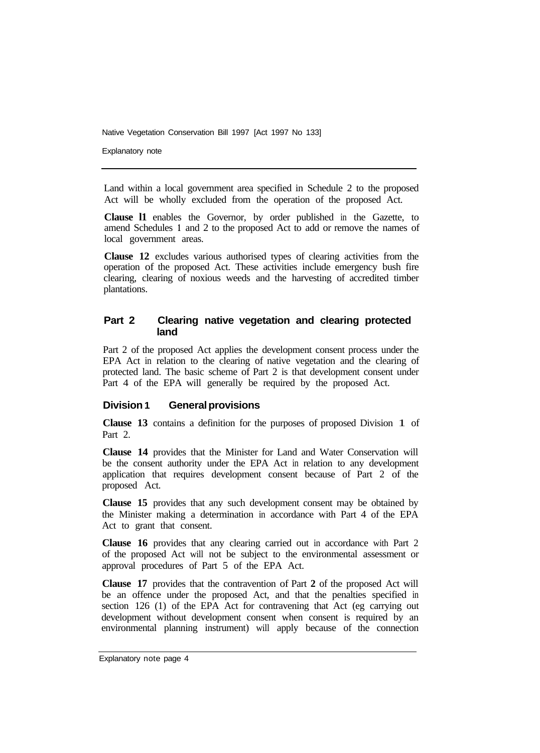Explanatory note

Land within a local government area specified in Schedule 2 to the proposed Act will be wholly excluded from the operation of the proposed Act.

**Clause l1** enables the Governor, by order published in the Gazette, to amend Schedules **1** and 2 to the proposed Act to add or remove the names of local government areas.

**Clause 12** excludes various authorised types of clearing activities from the operation of the proposed Act. These activities include emergency bush fire clearing, clearing of noxious weeds and the harvesting of accredited timber plantations.

#### **Part 2 Clearing native vegetation and clearing protected land**

Part 2 of the proposed Act applies the development consent process under the EPA Act in relation to the clearing of native vegetation and the clearing of protected land. The basic scheme of Part 2 is that development consent under Part 4 of the EPA will generally be required by the proposed Act.

#### **Division 1 General provisions**

**Clause 13** contains a definition for the purposes of proposed Division 1 of Part 2.

**Clause 14** provides that the Minister for Land and Water Conservation will be the consent authority under the EPA Act in relation to any development application that requires development consent because of Part 2 of the proposed Act.

**Clause 15** provides that any such development consent may be obtained by the Minister making a determination in accordance with Part 4 of the EPA Act to grant that consent.

**Clause 16** provides that any clearing carried out in accordance with Part 2 of the proposed Act will not be subject to the environmental assessment or approval procedures of Part 5 of the EPA Act.

**Clause 17** provides that the contravention of Part **2** of the proposed Act will be an offence under the proposed Act, and that the penalties specified in section 126 (1) of the EPA Act for contravening that Act (eg carrying out development without development consent when consent is required by an environmental planning instrument) will apply because of the connection

Explanatory note page 4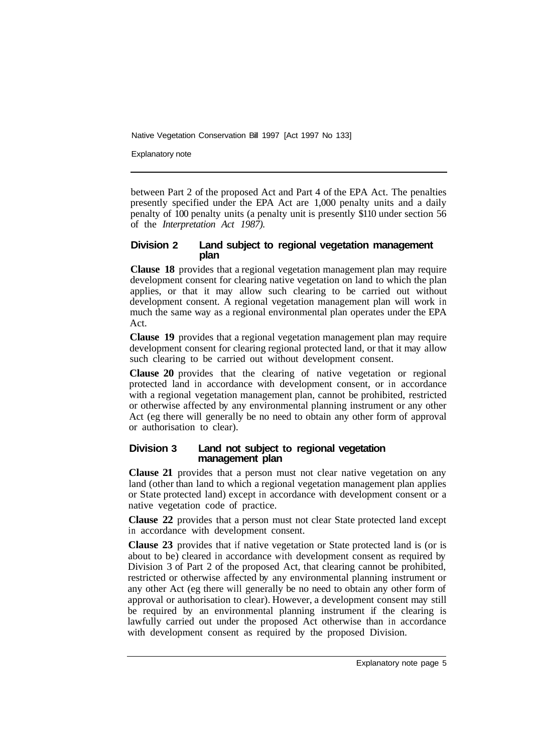Explanatory note

between Part 2 of the proposed Act and Part 4 of the EPA Act. The penalties presently specified under the EPA Act are 1,000 penalty units and a daily penalty of 100 penalty units (a penalty unit is presently \$110 under section 56 of the *Interpretation Act 1987).* 

#### **Division 2 Land subject to regional vegetation management plan**

**Clause 18** provides that a regional vegetation management plan may require development consent for clearing native vegetation on land to which the plan applies, or that it may allow such clearing to be carried out without development consent. A regional vegetation management plan will work in much the same way as a regional environmental plan operates under the EPA Act.

**Clause 19** provides that a regional vegetation management plan may require development consent for clearing regional protected land, or that it may allow such clearing to be carried out without development consent.

**Clause 20** provides that the clearing of native vegetation or regional protected land in accordance with development consent, or in accordance with a regional vegetation management plan, cannot be prohibited, restricted or otherwise affected by any environmental planning instrument or any other Act (eg there will generally be no need to obtain any other form of approval or authorisation to clear).

#### **Division 3 Land not subject to regional vegetation management plan**

**Clause 21** provides that a person must not clear native vegetation on any land (other than land to which a regional vegetation management plan applies or State protected land) except in accordance with development consent or a native vegetation code of practice.

**Clause 22** provides that a person must not clear State protected land except in accordance with development consent.

**Clause 23** provides that if native vegetation or State protected land is (or is about to be) cleared in accordance with development consent as required by Division 3 of Part 2 of the proposed Act, that clearing cannot be prohibited, restricted or otherwise affected by any environmental planning instrument or any other Act (eg there will generally be no need to obtain any other form of approval or authorisation to clear). However, a development consent may still be required by an environmental planning instrument if the clearing is lawfully carried out under the proposed Act otherwise than in accordance with development consent as required by the proposed Division.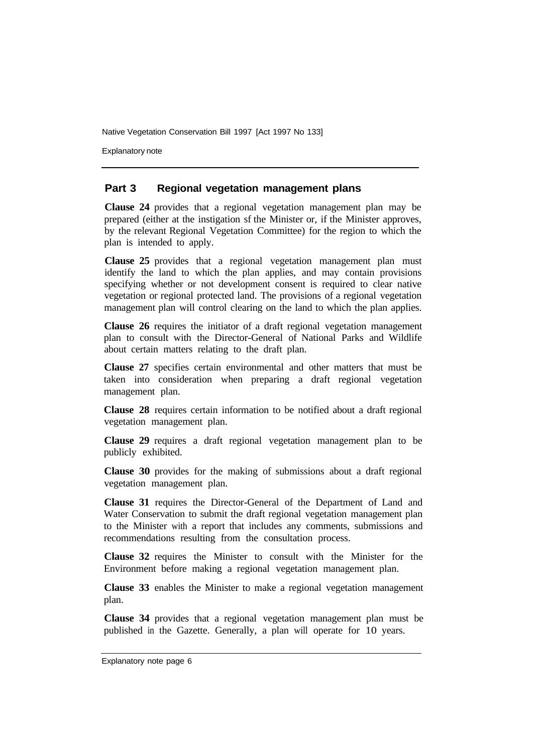Explanatory note

#### **Part 3 Regional vegetation management plans**

**Clause 24** provides that a regional vegetation management plan may be prepared (either at the instigation sf the Minister or, if the Minister approves, by the relevant Regional Vegetation Committee) for the region to which the plan is intended to apply.

**Clause 25** provides that a regional vegetation management plan must identify the land to which the plan applies, and may contain provisions specifying whether or not development consent is required to clear native vegetation or regional protected land. The provisions of a regional vegetation management plan will control clearing on the land to which the plan applies.

**Clause 26** requires the initiator of a draft regional vegetation management plan to consult with the Director-General of National Parks and Wildlife about certain matters relating to the draft plan.

**Clause 27** specifies certain environmental and other matters that must be taken into consideration when preparing a draft regional vegetation management plan.

**Clause 28** requires certain information to be notified about a draft regional vegetation management plan.

**Clause 29** requires a draft regional vegetation management plan to be publicly exhibited.

**Clause 30** provides for the making of submissions about a draft regional vegetation management plan.

**Clause 31** requires the Director-General of the Department of Land and Water Conservation to submit the draft regional vegetation management plan to the Minister with a report that includes any comments, submissions and recommendations resulting from the consultation process.

**Clause 32** requires the Minister to consult with the Minister for the Environment before making a regional vegetation management plan.

**Clause 33** enables the Minister to make a regional vegetation management plan.

**Clause 34** provides that a regional vegetation management plan must be published in the Gazette. Generally, a plan will operate for 10 years.

Explanatory note page 6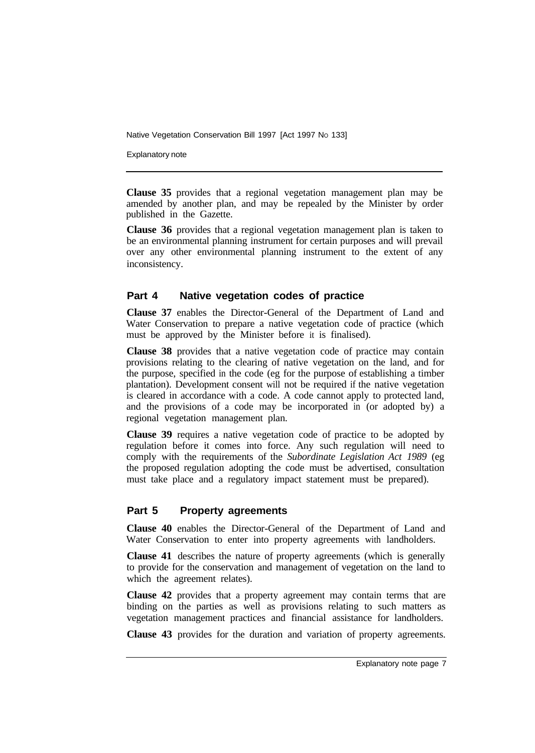Explanatory note

**Clause 35** provides that a regional vegetation management plan may be amended by another plan, and may be repealed by the Minister by order published in the Gazette.

**Clause 36** provides that a regional vegetation management plan is taken to be an environmental planning instrument for certain purposes and will prevail over any other environmental planning instrument to the extent of any inconsistency.

#### **Part 4 Native vegetation codes of practice**

**Clause 37** enables the Director-General of the Department of Land and Water Conservation to prepare a native vegetation code of practice (which must be approved by the Minister before it is finalised).

**Clause 38** provides that a native vegetation code of practice may contain provisions relating to the clearing of native vegetation on the land, and for the purpose, specified in the code (eg for the purpose of establishing a timber plantation). Development consent will not be required if the native vegetation is cleared in accordance with a code. A code cannot apply to protected land, and the provisions of a code may be incorporated in (or adopted by) a regional vegetation management plan.

**Clause 39** requires a native vegetation code of practice to be adopted by regulation before it comes into force. Any such regulation will need to comply with the requirements of the *Subordinate Legislation Act 1989* (eg the proposed regulation adopting the code must be advertised, consultation must take place and a regulatory impact statement must be prepared).

#### **Part 5 Property agreements**

**Clause 40** enables the Director-General of the Department of Land and Water Conservation to enter into property agreements with landholders.

**Clause 41** describes the nature of property agreements (which is generally to provide for the conservation and management of vegetation on the land to which the agreement relates).

**Clause 42** provides that a property agreement may contain terms that are binding on the parties as well as provisions relating to such matters as vegetation management practices and financial assistance for landholders.

**Clause 43** provides for the duration and variation of property agreements.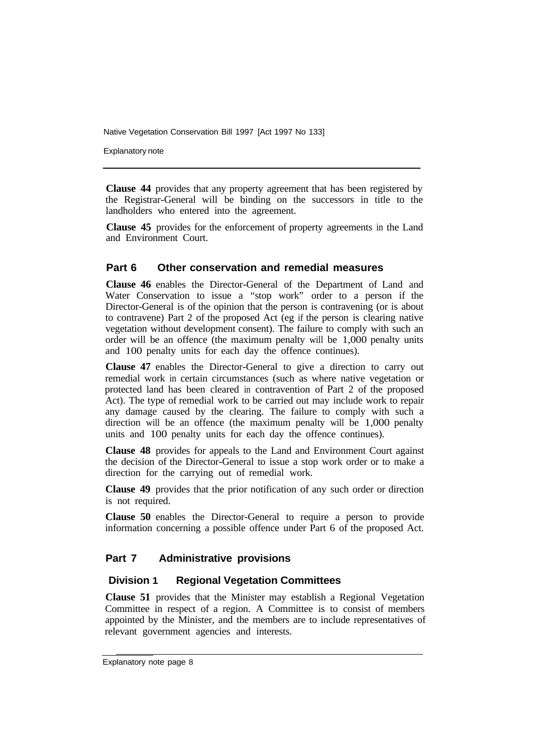Explanatory note

**Clause 44** provides that any property agreement that has been registered by the Registrar-General will be binding on the successors in title to the landholders who entered into the agreement.

**Clause 45** provides for the enforcement of property agreements in the Land and Environment Court.

#### **Part 6 Other conservation and remedial measures**

**Clause 46** enables the Director-General of the Department of Land and Water Conservation to issue a "stop work" order to a person if the Director-General is of the opinion that the person is contravening (or is about to contravene) Part 2 of the proposed Act (eg if the person is clearing native vegetation without development consent). The failure to comply with such an order will be an offence (the maximum penalty will be 1,000 penalty units and 100 penalty units for each day the offence continues).

**Clause 47** enables the Director-General to give a direction to carry out remedial work in certain circumstances (such as where native vegetation or protected land has been cleared in contravention of Part 2 of the proposed Act). The type of remedial work to be carried out may include work to repair any damage caused by the clearing. The failure to comply with such a direction will be an offence (the maximum penalty will be 1,000 penalty units and 100 penalty units for each day the offence continues).

**Clause 48** provides for appeals to the Land and Environment Court against the decision of the Director-General to issue a stop work order or to make a direction for the carrying out of remedial work.

**Clause 49** provides that the prior notification of any such order or direction is not required.

**Clause 50** enables the Director-General to require a person to provide information concerning a possible offence under Part 6 of the proposed Act.

#### **Part 7 Administrative provisions**

#### **Division 1 Regional Vegetation Committees**

**Clause 51** provides that the Minister may establish a Regional Vegetation Committee in respect of a region. A Committee is to consist of members appointed by the Minister, and the members are to include representatives of relevant government agencies and interests.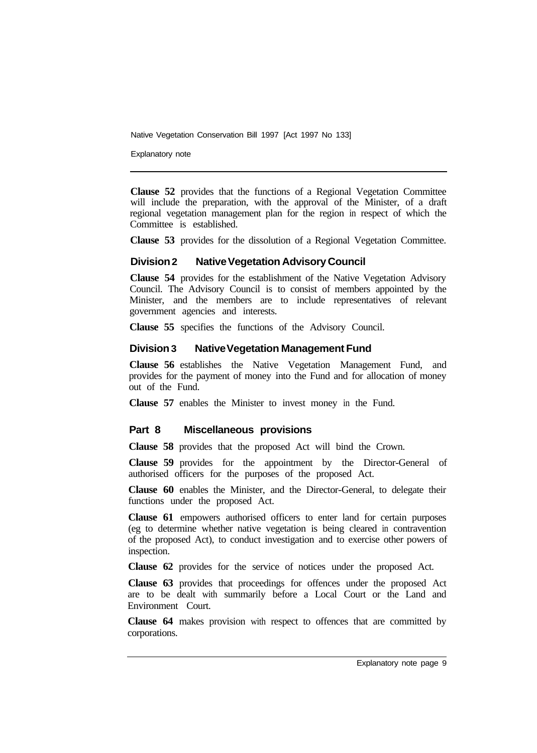Explanatory note

**Clause 52** provides that the functions of a Regional Vegetation Committee will include the preparation, with the approval of the Minister, of a draft regional vegetation management plan for the region in respect of which the Committee is established.

**Clause 53** provides for the dissolution of a Regional Vegetation Committee.

#### **Division 2 Native Vegetation Advisory Council**

**Clause 54** provides for the establishment of the Native Vegetation Advisory Council. The Advisory Council is to consist of members appointed by the Minister, and the members are to include representatives of relevant government agencies and interests.

**Clause 55** specifies the functions of the Advisory Council.

#### **Division 3 Native Vegetation Management Fund**

**Clause 56** establishes the Native Vegetation Management Fund, and provides for the payment of money into the Fund and for allocation of money out of the Fund.

**Clause 57** enables the Minister to invest money in the Fund.

#### **Part 8 Miscellaneous provisions**

**Clause 58** provides that the proposed Act will bind the Crown.

**Clause 59** provides for the appointment by the Director-General of authorised officers for the purposes of the proposed Act.

**Clause 60** enables the Minister, and the Director-General, to delegate their functions under the proposed Act.

**Clause 61** empowers authorised officers to enter land for certain purposes (eg to determine whether native vegetation is being cleared in contravention of the proposed Act), to conduct investigation and to exercise other powers of inspection.

**Clause 62** provides for the service of notices under the proposed Act.

**Clause 63** provides that proceedings for offences under the proposed Act are to be dealt with summarily before a Local Court or the Land and Environment Court.

**Clause 64** makes provision with respect to offences that are committed by corporations.